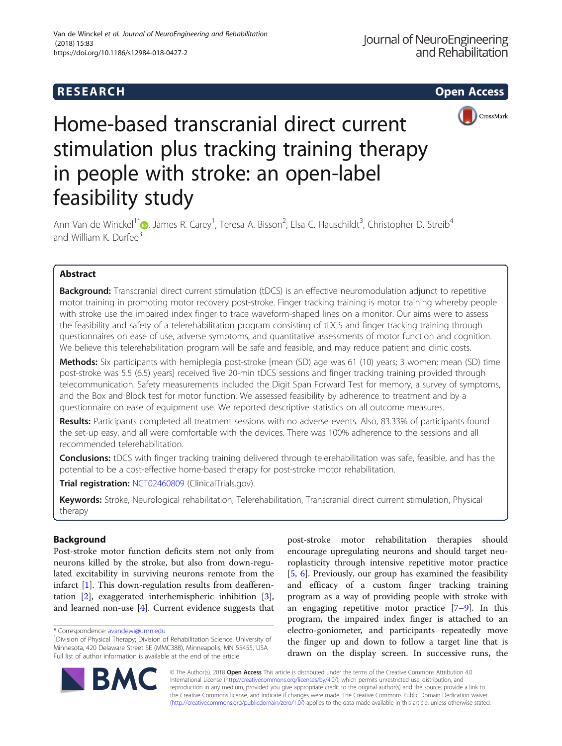

# Home-based transcranial direct current stimulation plus tracking training therapy in people with stroke: an open-label feasibility study

Ann Van de Winckel<sup>1\*</sup> (b, James R. Carey<sup>1</sup>, Teresa A. Bisson<sup>2</sup>, Elsa C. Hauschildt<sup>3</sup>, Christopher D. Streib<sup>4</sup> and William K. Durfee<sup>3</sup>

# Abstract

**Background:** Transcranial direct current stimulation (tDCS) is an effective neuromodulation adjunct to repetitive motor training in promoting motor recovery post-stroke. Finger tracking training is motor training whereby people with stroke use the impaired index finger to trace waveform-shaped lines on a monitor. Our aims were to assess the feasibility and safety of a telerehabilitation program consisting of tDCS and finger tracking training through questionnaires on ease of use, adverse symptoms, and quantitative assessments of motor function and cognition. We believe this telerehabilitation program will be safe and feasible, and may reduce patient and clinic costs.

Methods: Six participants with hemiplegia post-stroke [mean (SD) age was 61 (10) years; 3 women; mean (SD) time post-stroke was 5.5 (6.5) years] received five 20-min tDCS sessions and finger tracking training provided through telecommunication. Safety measurements included the Digit Span Forward Test for memory, a survey of symptoms, and the Box and Block test for motor function. We assessed feasibility by adherence to treatment and by a questionnaire on ease of equipment use. We reported descriptive statistics on all outcome measures.

Results: Participants completed all treatment sessions with no adverse events. Also, 83.33% of participants found the set-up easy, and all were comfortable with the devices. There was 100% adherence to the sessions and all recommended telerehabilitation.

Conclusions: tDCS with finger tracking training delivered through telerehabilitation was safe, feasible, and has the potential to be a cost-effective home-based therapy for post-stroke motor rehabilitation.

Trial registration: [NCT02460809](https://clinicaltrials.gov/ct2/show/NCT02460809) (ClinicalTrials.gov).

Keywords: Stroke, Neurological rehabilitation, Telerehabilitation, Transcranial direct current stimulation, Physical therapy

## Background

Post-stroke motor function deficits stem not only from neurons killed by the stroke, but also from down-regulated excitability in surviving neurons remote from the infarct [[1\]](#page-8-0). This down-regulation results from deafferentation [[2\]](#page-8-0), exaggerated interhemispheric inhibition [\[3](#page-8-0)], and learned non-use [[4\]](#page-8-0). Current evidence suggests that

post-stroke motor rehabilitation therapies should encourage upregulating neurons and should target neuroplasticity through intensive repetitive motor practice [[5,](#page-8-0) [6](#page-8-0)]. Previously, our group has examined the feasibility and efficacy of a custom finger tracking training program as a way of providing people with stroke with an engaging repetitive motor practice  $[7-9]$  $[7-9]$  $[7-9]$  $[7-9]$ . In this program, the impaired index finger is attached to an electro-goniometer, and participants repeatedly move the finger up and down to follow a target line that is drawn on the display screen. In successive runs, the



© The Author(s). 2018 Open Access This article is distributed under the terms of the Creative Commons Attribution 4.0 International License [\(http://creativecommons.org/licenses/by/4.0/](http://creativecommons.org/licenses/by/4.0/)), which permits unrestricted use, distribution, and reproduction in any medium, provided you give appropriate credit to the original author(s) and the source, provide a link to the Creative Commons license, and indicate if changes were made. The Creative Commons Public Domain Dedication waiver [\(http://creativecommons.org/publicdomain/zero/1.0/](http://creativecommons.org/publicdomain/zero/1.0/)) applies to the data made available in this article, unless otherwise stated.

<sup>\*</sup> Correspondence: [avandewi@umn.edu](mailto:avandewi@umn.edu) <sup>1</sup>

Division of Physical Therapy; Division of Rehabilitation Science, University of Minnesota, 420 Delaware Street SE (MMC388), Minneapolis, MN 55455, USA Full list of author information is available at the end of the article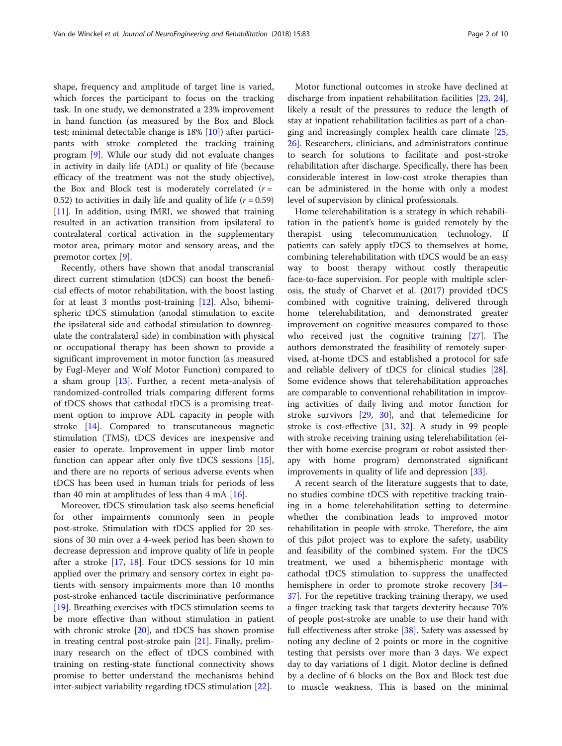shape, frequency and amplitude of target line is varied, which forces the participant to focus on the tracking task. In one study, we demonstrated a 23% improvement in hand function (as measured by the Box and Block test; minimal detectable change is 18% [[10](#page-8-0)]) after participants with stroke completed the tracking training program [[9\]](#page-8-0). While our study did not evaluate changes in activity in daily life (ADL) or quality of life (because efficacy of the treatment was not the study objective), the Box and Block test is moderately correlated  $(r =$ 0.52) to activities in daily life and quality of life  $(r = 0.59)$ [[11\]](#page-8-0). In addition, using fMRI, we showed that training resulted in an activation transition from ipsilateral to contralateral cortical activation in the supplementary motor area, primary motor and sensory areas, and the premotor cortex [[9\]](#page-8-0).

Recently, others have shown that anodal transcranial direct current stimulation (tDCS) can boost the beneficial effects of motor rehabilitation, with the boost lasting for at least 3 months post-training  $[12]$  $[12]$ . Also, bihemispheric tDCS stimulation (anodal stimulation to excite the ipsilateral side and cathodal stimulation to downregulate the contralateral side) in combination with physical or occupational therapy has been shown to provide a significant improvement in motor function (as measured by Fugl-Meyer and Wolf Motor Function) compared to a sham group [\[13\]](#page-8-0). Further, a recent meta-analysis of randomized-controlled trials comparing different forms of tDCS shows that cathodal tDCS is a promising treatment option to improve ADL capacity in people with stroke [[14\]](#page-8-0). Compared to transcutaneous magnetic stimulation (TMS), tDCS devices are inexpensive and easier to operate. Improvement in upper limb motor function can appear after only five tDCS sessions [\[15](#page-8-0)], and there are no reports of serious adverse events when tDCS has been used in human trials for periods of less than 40 min at amplitudes of less than 4 mA  $[16]$  $[16]$ .

Moreover, tDCS stimulation task also seems beneficial for other impairments commonly seen in people post-stroke. Stimulation with tDCS applied for 20 sessions of 30 min over a 4-week period has been shown to decrease depression and improve quality of life in people after a stroke [\[17,](#page-8-0) [18](#page-8-0)]. Four tDCS sessions for 10 min applied over the primary and sensory cortex in eight patients with sensory impairments more than 10 months post-stroke enhanced tactile discriminative performance [[19\]](#page-8-0). Breathing exercises with tDCS stimulation seems to be more effective than without stimulation in patient with chronic stroke [\[20](#page-8-0)], and tDCS has shown promise in treating central post-stroke pain [[21\]](#page-8-0). Finally, preliminary research on the effect of tDCS combined with training on resting-state functional connectivity shows promise to better understand the mechanisms behind inter-subject variability regarding tDCS stimulation [[22\]](#page-8-0).

Motor functional outcomes in stroke have declined at discharge from inpatient rehabilitation facilities [[23,](#page-8-0) [24](#page-8-0)], likely a result of the pressures to reduce the length of stay at inpatient rehabilitation facilities as part of a changing and increasingly complex health care climate [[25](#page-8-0), [26\]](#page-8-0). Researchers, clinicians, and administrators continue to search for solutions to facilitate and post-stroke rehabilitation after discharge. Specifically, there has been considerable interest in low-cost stroke therapies than can be administered in the home with only a modest level of supervision by clinical professionals.

Home telerehabilitation is a strategy in which rehabilitation in the patient's home is guided remotely by the therapist using telecommunication technology. If patients can safely apply tDCS to themselves at home, combining telerehabilitation with tDCS would be an easy way to boost therapy without costly therapeutic face-to-face supervision. For people with multiple sclerosis, the study of Charvet et al. (2017) provided tDCS combined with cognitive training, delivered through home telerehabilitation, and demonstrated greater improvement on cognitive measures compared to those who received just the cognitive training [[27\]](#page-8-0). The authors demonstrated the feasibility of remotely supervised, at-home tDCS and established a protocol for safe and reliable delivery of tDCS for clinical studies [\[28](#page-8-0)]. Some evidence shows that telerehabilitation approaches are comparable to conventional rehabilitation in improving activities of daily living and motor function for stroke survivors [[29](#page-8-0), [30](#page-8-0)], and that telemedicine for stroke is cost-effective [[31,](#page-8-0) [32\]](#page-8-0). A study in 99 people with stroke receiving training using telerehabilitation (either with home exercise program or robot assisted therapy with home program) demonstrated significant improvements in quality of life and depression [[33\]](#page-8-0).

A recent search of the literature suggests that to date, no studies combine tDCS with repetitive tracking training in a home telerehabilitation setting to determine whether the combination leads to improved motor rehabilitation in people with stroke. Therefore, the aim of this pilot project was to explore the safety, usability and feasibility of the combined system. For the tDCS treatment, we used a bihemispheric montage with cathodal tDCS stimulation to suppress the unaffected hemisphere in order to promote stroke recovery [[34](#page-8-0)– [37\]](#page-9-0). For the repetitive tracking training therapy, we used a finger tracking task that targets dexterity because 70% of people post-stroke are unable to use their hand with full effectiveness after stroke [\[38](#page-9-0)]. Safety was assessed by noting any decline of 2 points or more in the cognitive testing that persists over more than 3 days. We expect day to day variations of 1 digit. Motor decline is defined by a decline of 6 blocks on the Box and Block test due to muscle weakness. This is based on the minimal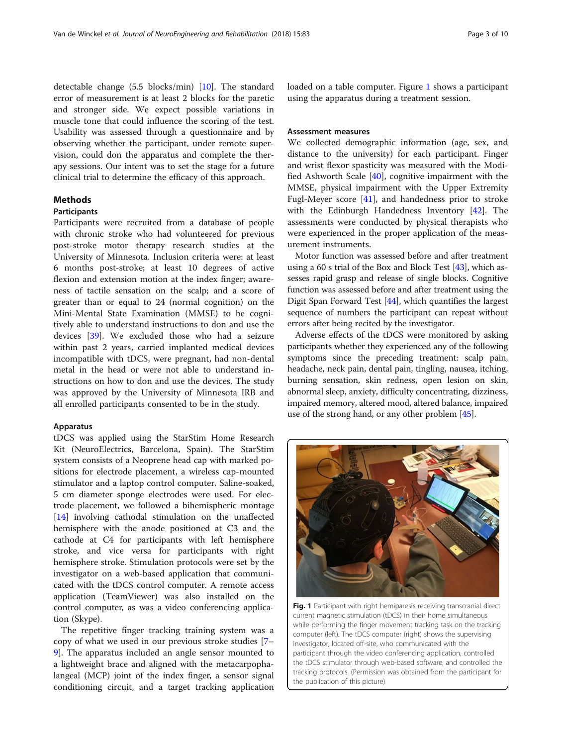<span id="page-2-0"></span>detectable change (5.5 blocks/min) [[10\]](#page-8-0). The standard error of measurement is at least 2 blocks for the paretic and stronger side. We expect possible variations in muscle tone that could influence the scoring of the test. Usability was assessed through a questionnaire and by observing whether the participant, under remote supervision, could don the apparatus and complete the therapy sessions. Our intent was to set the stage for a future clinical trial to determine the efficacy of this approach.

## **Methods**

## **Participants**

Participants were recruited from a database of people with chronic stroke who had volunteered for previous post-stroke motor therapy research studies at the University of Minnesota. Inclusion criteria were: at least 6 months post-stroke; at least 10 degrees of active flexion and extension motion at the index finger; awareness of tactile sensation on the scalp; and a score of greater than or equal to 24 (normal cognition) on the Mini-Mental State Examination (MMSE) to be cognitively able to understand instructions to don and use the devices [\[39](#page-9-0)]. We excluded those who had a seizure within past 2 years, carried implanted medical devices incompatible with tDCS, were pregnant, had non-dental metal in the head or were not able to understand instructions on how to don and use the devices. The study was approved by the University of Minnesota IRB and all enrolled participants consented to be in the study.

## Apparatus

tDCS was applied using the StarStim Home Research Kit (NeuroElectrics, Barcelona, Spain). The StarStim system consists of a Neoprene head cap with marked positions for electrode placement, a wireless cap-mounted stimulator and a laptop control computer. Saline-soaked, 5 cm diameter sponge electrodes were used. For electrode placement, we followed a bihemispheric montage [[14\]](#page-8-0) involving cathodal stimulation on the unaffected hemisphere with the anode positioned at C3 and the cathode at C4 for participants with left hemisphere stroke, and vice versa for participants with right hemisphere stroke. Stimulation protocols were set by the investigator on a web-based application that communicated with the tDCS control computer. A remote access application (TeamViewer) was also installed on the control computer, as was a video conferencing application (Skype).

The repetitive finger tracking training system was a copy of what we used in our previous stroke studies [[7](#page-8-0)– [9\]](#page-8-0). The apparatus included an angle sensor mounted to a lightweight brace and aligned with the metacarpophalangeal (MCP) joint of the index finger, a sensor signal conditioning circuit, and a target tracking application

loaded on a table computer. Figure 1 shows a participant using the apparatus during a treatment session.

## Assessment measures

We collected demographic information (age, sex, and distance to the university) for each participant. Finger and wrist flexor spasticity was measured with the Modified Ashworth Scale [\[40](#page-9-0)], cognitive impairment with the MMSE, physical impairment with the Upper Extremity Fugl-Meyer score [\[41](#page-9-0)], and handedness prior to stroke with the Edinburgh Handedness Inventory [\[42\]](#page-9-0). The assessments were conducted by physical therapists who were experienced in the proper application of the measurement instruments.

Motor function was assessed before and after treatment using a 60 s trial of the Box and Block Test [[43](#page-9-0)], which assesses rapid grasp and release of single blocks. Cognitive function was assessed before and after treatment using the Digit Span Forward Test [\[44\]](#page-9-0), which quantifies the largest sequence of numbers the participant can repeat without errors after being recited by the investigator.

Adverse effects of the tDCS were monitored by asking participants whether they experienced any of the following symptoms since the preceding treatment: scalp pain, headache, neck pain, dental pain, tingling, nausea, itching, burning sensation, skin redness, open lesion on skin, abnormal sleep, anxiety, difficulty concentrating, dizziness, impaired memory, altered mood, altered balance, impaired use of the strong hand, or any other problem [\[45\]](#page-9-0).



Fig. 1 Participant with right hemiparesis receiving transcranial direct current magnetic stimulation (tDCS) in their home simultaneous while performing the finger movement tracking task on the tracking computer (left). The tDCS computer (right) shows the supervising investigator, located off-site, who communicated with the participant through the video conferencing application, controlled the tDCS stimulator through web-based software, and controlled the tracking protocols. (Permission was obtained from the participant for the publication of this picture)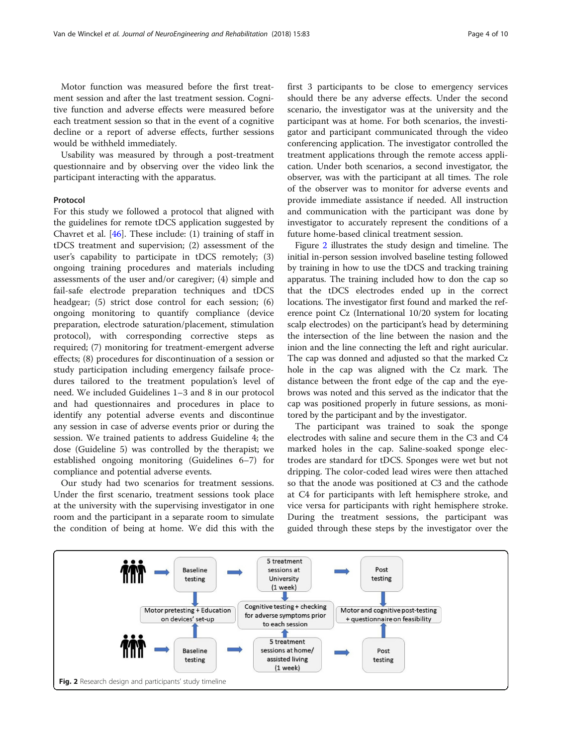<span id="page-3-0"></span>Motor function was measured before the first treatment session and after the last treatment session. Cognitive function and adverse effects were measured before each treatment session so that in the event of a cognitive decline or a report of adverse effects, further sessions would be withheld immediately.

Usability was measured by through a post-treatment questionnaire and by observing over the video link the participant interacting with the apparatus.

### Protocol

For this study we followed a protocol that aligned with the guidelines for remote tDCS application suggested by Chavret et al. [[46\]](#page-9-0). These include: (1) training of staff in tDCS treatment and supervision; (2) assessment of the user's capability to participate in tDCS remotely; (3) ongoing training procedures and materials including assessments of the user and/or caregiver; (4) simple and fail-safe electrode preparation techniques and tDCS headgear; (5) strict dose control for each session; (6) ongoing monitoring to quantify compliance (device preparation, electrode saturation/placement, stimulation protocol), with corresponding corrective steps as required; (7) monitoring for treatment-emergent adverse effects; (8) procedures for discontinuation of a session or study participation including emergency failsafe procedures tailored to the treatment population's level of need. We included Guidelines 1–3 and 8 in our protocol and had questionnaires and procedures in place to identify any potential adverse events and discontinue any session in case of adverse events prior or during the session. We trained patients to address Guideline 4; the dose (Guideline 5) was controlled by the therapist; we established ongoing monitoring (Guidelines 6–7) for compliance and potential adverse events.

Our study had two scenarios for treatment sessions. Under the first scenario, treatment sessions took place at the university with the supervising investigator in one room and the participant in a separate room to simulate the condition of being at home. We did this with the first 3 participants to be close to emergency services should there be any adverse effects. Under the second scenario, the investigator was at the university and the participant was at home. For both scenarios, the investigator and participant communicated through the video conferencing application. The investigator controlled the treatment applications through the remote access application. Under both scenarios, a second investigator, the observer, was with the participant at all times. The role of the observer was to monitor for adverse events and provide immediate assistance if needed. All instruction and communication with the participant was done by investigator to accurately represent the conditions of a future home-based clinical treatment session.

Figure 2 illustrates the study design and timeline. The initial in-person session involved baseline testing followed by training in how to use the tDCS and tracking training apparatus. The training included how to don the cap so that the tDCS electrodes ended up in the correct locations. The investigator first found and marked the reference point Cz (International 10/20 system for locating scalp electrodes) on the participant's head by determining the intersection of the line between the nasion and the inion and the line connecting the left and right auricular. The cap was donned and adjusted so that the marked Cz hole in the cap was aligned with the Cz mark. The distance between the front edge of the cap and the eyebrows was noted and this served as the indicator that the cap was positioned properly in future sessions, as monitored by the participant and by the investigator.

The participant was trained to soak the sponge electrodes with saline and secure them in the C3 and C4 marked holes in the cap. Saline-soaked sponge electrodes are standard for tDCS. Sponges were wet but not dripping. The color-coded lead wires were then attached so that the anode was positioned at C3 and the cathode at C4 for participants with left hemisphere stroke, and vice versa for participants with right hemisphere stroke. During the treatment sessions, the participant was guided through these steps by the investigator over the

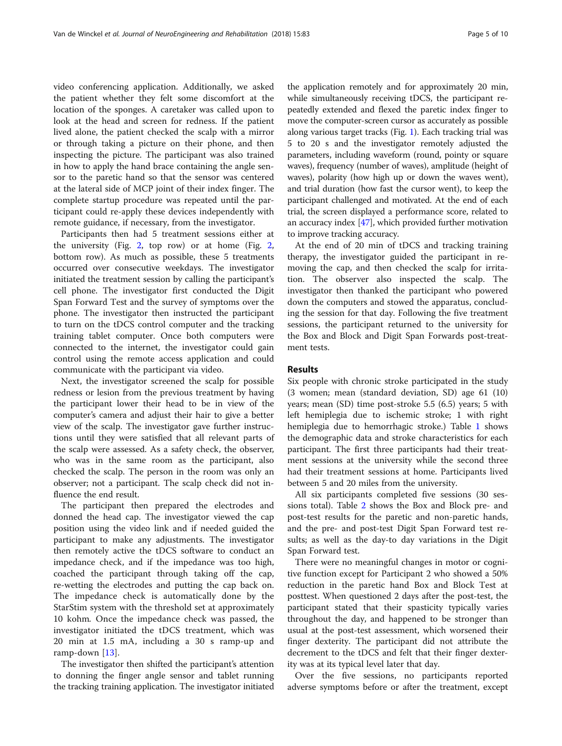video conferencing application. Additionally, we asked the patient whether they felt some discomfort at the location of the sponges. A caretaker was called upon to look at the head and screen for redness. If the patient lived alone, the patient checked the scalp with a mirror or through taking a picture on their phone, and then inspecting the picture. The participant was also trained in how to apply the hand brace containing the angle sensor to the paretic hand so that the sensor was centered at the lateral side of MCP joint of their index finger. The complete startup procedure was repeated until the participant could re-apply these devices independently with remote guidance, if necessary, from the investigator.

Participants then had 5 treatment sessions either at the university (Fig. [2,](#page-3-0) top row) or at home (Fig.  $2$ , bottom row). As much as possible, these 5 treatments occurred over consecutive weekdays. The investigator initiated the treatment session by calling the participant's cell phone. The investigator first conducted the Digit Span Forward Test and the survey of symptoms over the phone. The investigator then instructed the participant to turn on the tDCS control computer and the tracking training tablet computer. Once both computers were connected to the internet, the investigator could gain control using the remote access application and could communicate with the participant via video.

Next, the investigator screened the scalp for possible redness or lesion from the previous treatment by having the participant lower their head to be in view of the computer's camera and adjust their hair to give a better view of the scalp. The investigator gave further instructions until they were satisfied that all relevant parts of the scalp were assessed. As a safety check, the observer, who was in the same room as the participant, also checked the scalp. The person in the room was only an observer; not a participant. The scalp check did not influence the end result.

The participant then prepared the electrodes and donned the head cap. The investigator viewed the cap position using the video link and if needed guided the participant to make any adjustments. The investigator then remotely active the tDCS software to conduct an impedance check, and if the impedance was too high, coached the participant through taking off the cap, re-wetting the electrodes and putting the cap back on. The impedance check is automatically done by the StarStim system with the threshold set at approximately 10 kohm. Once the impedance check was passed, the investigator initiated the tDCS treatment, which was 20 min at 1.5 mA, including a 30 s ramp-up and ramp-down [\[13](#page-8-0)].

The investigator then shifted the participant's attention to donning the finger angle sensor and tablet running the tracking training application. The investigator initiated the application remotely and for approximately 20 min, while simultaneously receiving tDCS, the participant repeatedly extended and flexed the paretic index finger to move the computer-screen cursor as accurately as possible along various target tracks (Fig. [1\)](#page-2-0). Each tracking trial was 5 to 20 s and the investigator remotely adjusted the parameters, including waveform (round, pointy or square waves), frequency (number of waves), amplitude (height of waves), polarity (how high up or down the waves went), and trial duration (how fast the cursor went), to keep the participant challenged and motivated. At the end of each trial, the screen displayed a performance score, related to an accuracy index [\[47](#page-9-0)], which provided further motivation to improve tracking accuracy.

At the end of 20 min of tDCS and tracking training therapy, the investigator guided the participant in removing the cap, and then checked the scalp for irritation. The observer also inspected the scalp. The investigator then thanked the participant who powered down the computers and stowed the apparatus, concluding the session for that day. Following the five treatment sessions, the participant returned to the university for the Box and Block and Digit Span Forwards post-treatment tests.

## Results

Six people with chronic stroke participated in the study (3 women; mean (standard deviation, SD) age 61 (10) years; mean (SD) time post-stroke 5.5 (6.5) years; 5 with left hemiplegia due to ischemic stroke; 1 with right hemiplegia due to hemorrhagic stroke.) Table [1](#page-5-0) shows the demographic data and stroke characteristics for each participant. The first three participants had their treatment sessions at the university while the second three had their treatment sessions at home. Participants lived between 5 and 20 miles from the university.

All six participants completed five sessions (30 sessions total). Table [2](#page-5-0) shows the Box and Block pre- and post-test results for the paretic and non-paretic hands, and the pre- and post-test Digit Span Forward test results; as well as the day-to day variations in the Digit Span Forward test.

There were no meaningful changes in motor or cognitive function except for Participant 2 who showed a 50% reduction in the paretic hand Box and Block Test at posttest. When questioned 2 days after the post-test, the participant stated that their spasticity typically varies throughout the day, and happened to be stronger than usual at the post-test assessment, which worsened their finger dexterity. The participant did not attribute the decrement to the tDCS and felt that their finger dexterity was at its typical level later that day.

Over the five sessions, no participants reported adverse symptoms before or after the treatment, except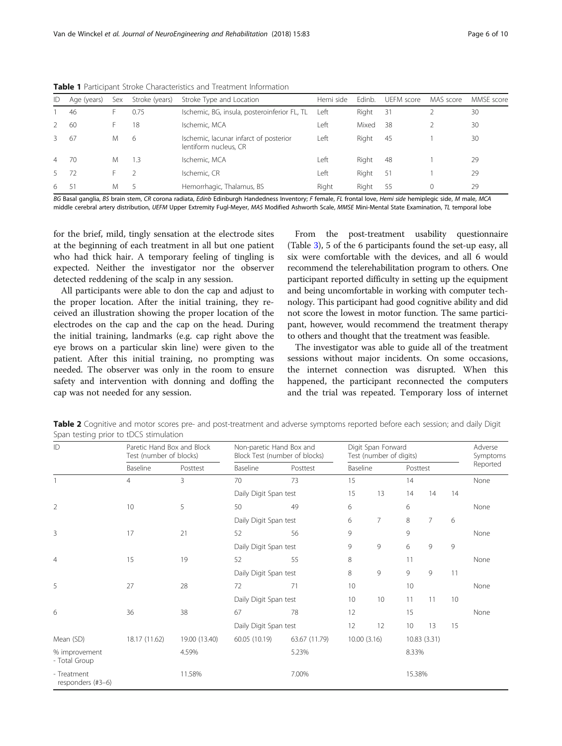| ID            | Age (years) | Sex | Stroke (years) | Stroke Type and Location                                        | Hemi side | Edinb. | UEFM score | MAS score | MMSE score |
|---------------|-------------|-----|----------------|-----------------------------------------------------------------|-----------|--------|------------|-----------|------------|
|               | 46          |     | 0.75           | Ischemic, BG, insula, posteroinferior FL, TL                    | Left      | Right  | 31         |           | 30         |
|               | 60          |     | 18             | Ischemic, MCA                                                   | ∟eft      | Mixed  | 38         |           | 30         |
| 3             | 67          | M   | 6              | Ischemic, lacunar infarct of posterior<br>lentiform nucleus, CR | Left      | Right  | 45         |           | 30         |
| 4             | 70          | M   | .3             | Ischemic, MCA                                                   | ∟eft      | Right  | -48        |           | 29         |
| $\mathcal{P}$ | 72          |     |                | Ischemic, CR                                                    | ∟eft      | Right  | -51        |           | 29         |
| 6             | -51         | M   |                | Hemorrhagic, Thalamus, BS                                       | Right     | Riaht  | 55         | $\Omega$  | 29         |

<span id="page-5-0"></span>Table 1 Participant Stroke Characteristics and Treatment Information

BG Basal ganglia, BS brain stem, CR corona radiata, Edinb Edinburgh Handedness Inventory; F female, FL frontal love, Hemi side hemiplegic side, M male, MCA middle cerebral artery distribution, UEFM Upper Extremity Fugl-Meyer, MAS Modified Ashworth Scale, MMSE Mini-Mental State Examination, TL temporal lobe

for the brief, mild, tingly sensation at the electrode sites at the beginning of each treatment in all but one patient who had thick hair. A temporary feeling of tingling is expected. Neither the investigator nor the observer detected reddening of the scalp in any session.

All participants were able to don the cap and adjust to the proper location. After the initial training, they received an illustration showing the proper location of the electrodes on the cap and the cap on the head. During the initial training, landmarks (e.g. cap right above the eye brows on a particular skin line) were given to the patient. After this initial training, no prompting was needed. The observer was only in the room to ensure safety and intervention with donning and doffing the cap was not needed for any session.

From the post-treatment usability questionnaire (Table [3](#page-6-0)), 5 of the 6 participants found the set-up easy, all six were comfortable with the devices, and all 6 would recommend the telerehabilitation program to others. One participant reported difficulty in setting up the equipment and being uncomfortable in working with computer technology. This participant had good cognitive ability and did not score the lowest in motor function. The same participant, however, would recommend the treatment therapy to others and thought that the treatment was feasible.

The investigator was able to guide all of the treatment sessions without major incidents. On some occasions, the internet connection was disrupted. When this happened, the participant reconnected the computers and the trial was repeated. Temporary loss of internet

Table 2 Cognitive and motor scores pre- and post-treatment and adverse symptoms reported before each session; and daily Digit Span testing prior to tDCS stimulation

| ID                                          | Paretic Hand Box and Block<br>Test (number of blocks) |                                | Non-paretic Hand Box and<br>Block Test (number of blocks) |                | Digit Span Forward<br>Test (number of digits) |                |         |                |    | Adverse<br>Symptoms |
|---------------------------------------------|-------------------------------------------------------|--------------------------------|-----------------------------------------------------------|----------------|-----------------------------------------------|----------------|---------|----------------|----|---------------------|
|                                             | Baseline                                              | Posttest<br>3                  | Baseline<br>70                                            | Posttest<br>73 | Baseline                                      |                |         | Posttest       |    | Reported            |
|                                             | $\overline{4}$                                        |                                |                                                           |                | 15                                            |                | 14      |                |    | None                |
|                                             |                                                       |                                | Daily Digit Span test                                     |                | 15                                            | 13             | 14      | 14             | 14 |                     |
| $\overline{2}$                              | 10                                                    | 5                              | 50                                                        | 49             | 6                                             |                | 6       |                |    | None                |
|                                             |                                                       |                                | Daily Digit Span test                                     |                | 6                                             | $\overline{7}$ | $\,8\,$ | $\overline{7}$ | 6  |                     |
| 3                                           | 17                                                    | 21                             | 52                                                        | 56             | 9                                             |                | 9       |                |    | None                |
|                                             |                                                       |                                | Daily Digit Span test                                     |                | 9                                             | 9              | 6       | 9              | 9  |                     |
| $\overline{4}$                              | 15                                                    | 19                             | 52                                                        | 55             | 8                                             |                | 11      |                |    | None                |
|                                             |                                                       | Daily Digit Span test          |                                                           |                | 8                                             | 9              | 9       | 9              | 11 |                     |
| 5                                           | 27                                                    | 28                             | 72                                                        | 71             | 10                                            |                | 10      |                |    | None                |
|                                             |                                                       |                                | Daily Digit Span test                                     |                | 10 <sup>°</sup>                               | 10             | 11      | 11             | 10 |                     |
| 6                                           | 36                                                    | 38                             | 67                                                        | 78             | 12                                            |                | 15      |                |    | None                |
|                                             |                                                       |                                | Daily Digit Span test                                     |                | 12                                            | 12             | 10      | 13             | 15 |                     |
| 18.17 (11.62)<br>Mean (SD)<br>19.00 (13.40) |                                                       | 60.05 (10.19)<br>63.67 (11.79) |                                                           | 10.00(3.16)    |                                               | 10.83(3.31)    |         |                |    |                     |
| % improvement<br>- Total Group              |                                                       | 4.59%                          |                                                           | 5.23%          |                                               | 8.33%          |         |                |    |                     |
| - Treatment<br>responders (#3-6)            |                                                       | 11.58%                         |                                                           | 7.00%          |                                               |                | 15.38%  |                |    |                     |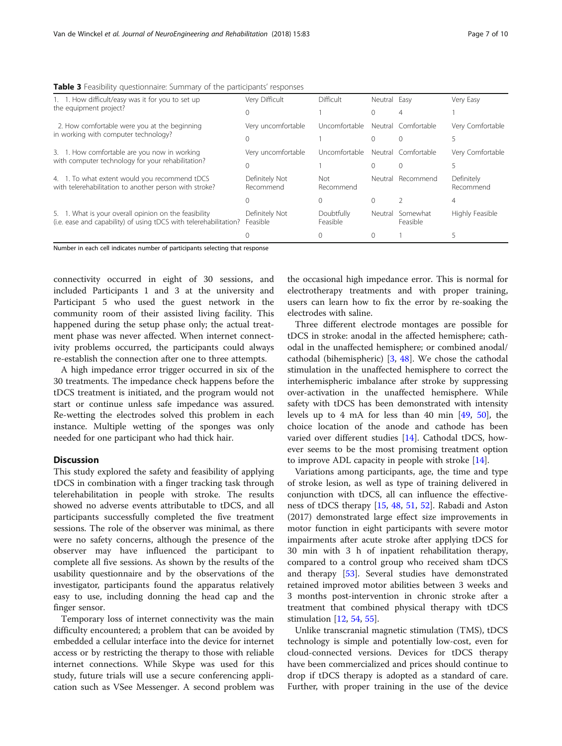| 1. 1. How difficult/easy was it for you to set up                                                                          | Very Difficult              | Difficult              | Neutral | Easy                 | Very Easy               |  |  |  |
|----------------------------------------------------------------------------------------------------------------------------|-----------------------------|------------------------|---------|----------------------|-------------------------|--|--|--|
| the equipment project?                                                                                                     |                             |                        |         |                      |                         |  |  |  |
| 2. How comfortable were you at the beginning                                                                               | Very uncomfortable          | Uncomfortable          |         | Neutral Comfortable  | Very Comfortable        |  |  |  |
| in working with computer technology?                                                                                       |                             |                        |         |                      |                         |  |  |  |
| 3. 1. How comfortable are you now in working                                                                               | Very uncomfortable          | Uncomfortable          |         | Neutral Comfortable  | Very Comfortable        |  |  |  |
| with computer technology for your rehabilitation?                                                                          |                             |                        |         |                      |                         |  |  |  |
| 4. 1. To what extent would you recommend tDCS<br>with telerehabilitation to another person with stroke?                    | Definitely Not<br>Recommend | Not<br>Recommend       | Neutral | Recommend            | Definitely<br>Recommend |  |  |  |
|                                                                                                                            |                             |                        |         |                      |                         |  |  |  |
| 5. 1. What is your overall opinion on the feasibility<br>(i.e. ease and capability) of using tDCS with telerehabilitation? | Definitely Not<br>Feasible  | Doubtfully<br>Feasible | Neutral | Somewhat<br>Feasible | Highly Feasible         |  |  |  |
|                                                                                                                            |                             |                        |         |                      |                         |  |  |  |

<span id="page-6-0"></span>Table 3 Feasibility questionnaire: Summary of the participants' responses

Number in each cell indicates number of participants selecting that response

connectivity occurred in eight of 30 sessions, and included Participants 1 and 3 at the university and Participant 5 who used the guest network in the community room of their assisted living facility. This happened during the setup phase only; the actual treatment phase was never affected. When internet connectivity problems occurred, the participants could always re-establish the connection after one to three attempts.

A high impedance error trigger occurred in six of the 30 treatments. The impedance check happens before the tDCS treatment is initiated, and the program would not start or continue unless safe impedance was assured. Re-wetting the electrodes solved this problem in each instance. Multiple wetting of the sponges was only needed for one participant who had thick hair.

## **Discussion**

This study explored the safety and feasibility of applying tDCS in combination with a finger tracking task through telerehabilitation in people with stroke. The results showed no adverse events attributable to tDCS, and all participants successfully completed the five treatment sessions. The role of the observer was minimal, as there were no safety concerns, although the presence of the observer may have influenced the participant to complete all five sessions. As shown by the results of the usability questionnaire and by the observations of the investigator, participants found the apparatus relatively easy to use, including donning the head cap and the finger sensor.

Temporary loss of internet connectivity was the main difficulty encountered; a problem that can be avoided by embedded a cellular interface into the device for internet access or by restricting the therapy to those with reliable internet connections. While Skype was used for this study, future trials will use a secure conferencing application such as VSee Messenger. A second problem was the occasional high impedance error. This is normal for electrotherapy treatments and with proper training, users can learn how to fix the error by re-soaking the electrodes with saline.

Three different electrode montages are possible for tDCS in stroke: anodal in the affected hemisphere; cathodal in the unaffected hemisphere; or combined anodal/ cathodal (bihemispheric) [\[3](#page-8-0), [48\]](#page-9-0). We chose the cathodal stimulation in the unaffected hemisphere to correct the interhemispheric imbalance after stroke by suppressing over-activation in the unaffected hemisphere. While safety with tDCS has been demonstrated with intensity levels up to 4 mA for less than 40 min [[49,](#page-9-0) [50](#page-9-0)], the choice location of the anode and cathode has been varied over different studies [\[14](#page-8-0)]. Cathodal tDCS, however seems to be the most promising treatment option to improve ADL capacity in people with stroke [[14\]](#page-8-0).

Variations among participants, age, the time and type of stroke lesion, as well as type of training delivered in conjunction with tDCS, all can influence the effectiveness of tDCS therapy [[15](#page-8-0), [48,](#page-9-0) [51](#page-9-0), [52\]](#page-9-0). Rabadi and Aston (2017) demonstrated large effect size improvements in motor function in eight participants with severe motor impairments after acute stroke after applying tDCS for 30 min with 3 h of inpatient rehabilitation therapy, compared to a control group who received sham tDCS and therapy [\[53\]](#page-9-0). Several studies have demonstrated retained improved motor abilities between 3 weeks and 3 months post-intervention in chronic stroke after a treatment that combined physical therapy with tDCS stimulation [\[12,](#page-8-0) [54,](#page-9-0) [55\]](#page-9-0).

Unlike transcranial magnetic stimulation (TMS), tDCS technology is simple and potentially low-cost, even for cloud-connected versions. Devices for tDCS therapy have been commercialized and prices should continue to drop if tDCS therapy is adopted as a standard of care. Further, with proper training in the use of the device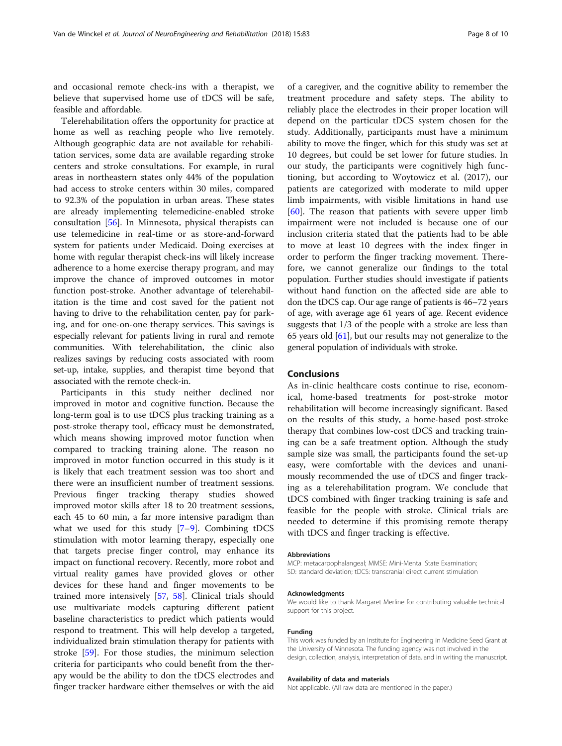and occasional remote check-ins with a therapist, we believe that supervised home use of tDCS will be safe, feasible and affordable.

Telerehabilitation offers the opportunity for practice at home as well as reaching people who live remotely. Although geographic data are not available for rehabilitation services, some data are available regarding stroke centers and stroke consultations. For example, in rural areas in northeastern states only 44% of the population had access to stroke centers within 30 miles, compared to 92.3% of the population in urban areas. These states are already implementing telemedicine-enabled stroke consultation [\[56](#page-9-0)]. In Minnesota, physical therapists can use telemedicine in real-time or as store-and-forward system for patients under Medicaid. Doing exercises at home with regular therapist check-ins will likely increase adherence to a home exercise therapy program, and may improve the chance of improved outcomes in motor function post-stroke. Another advantage of telerehabilitation is the time and cost saved for the patient not having to drive to the rehabilitation center, pay for parking, and for one-on-one therapy services. This savings is especially relevant for patients living in rural and remote communities. With telerehabilitation, the clinic also realizes savings by reducing costs associated with room set-up, intake, supplies, and therapist time beyond that associated with the remote check-in.

Participants in this study neither declined nor improved in motor and cognitive function. Because the long-term goal is to use tDCS plus tracking training as a post-stroke therapy tool, efficacy must be demonstrated, which means showing improved motor function when compared to tracking training alone. The reason no improved in motor function occurred in this study is it is likely that each treatment session was too short and there were an insufficient number of treatment sessions. Previous finger tracking therapy studies showed improved motor skills after 18 to 20 treatment sessions, each 45 to 60 min, a far more intensive paradigm than what we used for this study [[7](#page-8-0)–[9](#page-8-0)]. Combining tDCS stimulation with motor learning therapy, especially one that targets precise finger control, may enhance its impact on functional recovery. Recently, more robot and virtual reality games have provided gloves or other devices for these hand and finger movements to be trained more intensively [[57,](#page-9-0) [58](#page-9-0)]. Clinical trials should use multivariate models capturing different patient baseline characteristics to predict which patients would respond to treatment. This will help develop a targeted, individualized brain stimulation therapy for patients with stroke [[59\]](#page-9-0). For those studies, the minimum selection criteria for participants who could benefit from the therapy would be the ability to don the tDCS electrodes and finger tracker hardware either themselves or with the aid

of a caregiver, and the cognitive ability to remember the treatment procedure and safety steps. The ability to reliably place the electrodes in their proper location will depend on the particular tDCS system chosen for the study. Additionally, participants must have a minimum ability to move the finger, which for this study was set at 10 degrees, but could be set lower for future studies. In our study, the participants were cognitively high functioning, but according to Woytowicz et al. (2017), our patients are categorized with moderate to mild upper limb impairments, with visible limitations in hand use [[60\]](#page-9-0). The reason that patients with severe upper limb impairment were not included is because one of our inclusion criteria stated that the patients had to be able to move at least 10 degrees with the index finger in order to perform the finger tracking movement. Therefore, we cannot generalize our findings to the total population. Further studies should investigate if patients without hand function on the affected side are able to don the tDCS cap. Our age range of patients is 46–72 years of age, with average age 61 years of age. Recent evidence suggests that 1/3 of the people with a stroke are less than 65 years old  $[61]$ , but our results may not generalize to the general population of individuals with stroke.

## Conclusions

As in-clinic healthcare costs continue to rise, economical, home-based treatments for post-stroke motor rehabilitation will become increasingly significant. Based on the results of this study, a home-based post-stroke therapy that combines low-cost tDCS and tracking training can be a safe treatment option. Although the study sample size was small, the participants found the set-up easy, were comfortable with the devices and unanimously recommended the use of tDCS and finger tracking as a telerehabilitation program. We conclude that tDCS combined with finger tracking training is safe and feasible for the people with stroke. Clinical trials are needed to determine if this promising remote therapy with tDCS and finger tracking is effective.

#### Abbreviations

MCP: metacarpophalangeal; MMSE: Mini-Mental State Examination; SD: standard deviation; tDCS: transcranial direct current stimulation

#### Acknowledgments

We would like to thank Margaret Merline for contributing valuable technical support for this project.

#### Funding

This work was funded by an Institute for Engineering in Medicine Seed Grant at the University of Minnesota. The funding agency was not involved in the design, collection, analysis, interpretation of data, and in writing the manuscript.

#### Availability of data and materials

Not applicable. (All raw data are mentioned in the paper.)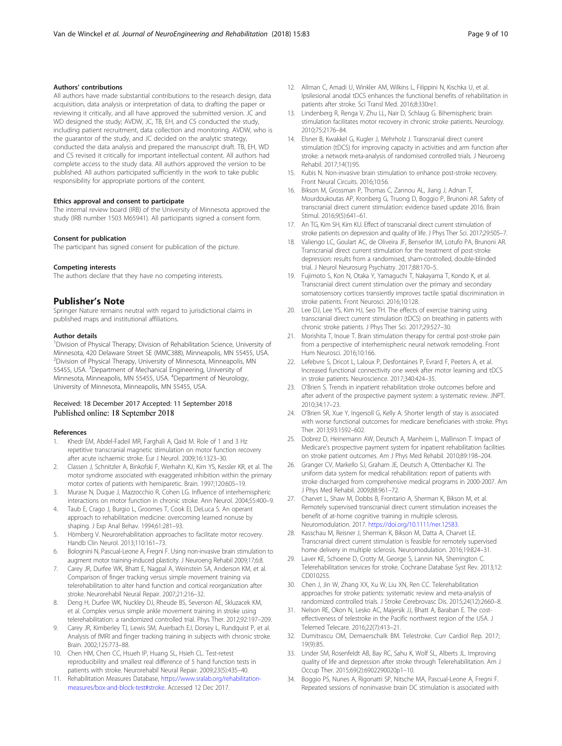## <span id="page-8-0"></span>Authors' contributions

All authors have made substantial contributions to the research design, data acquisition, data analysis or interpretation of data, to drafting the paper or reviewing it critically, and all have approved the submitted version. JC and WD designed the study; AVDW, JC, TB, EH, and CS conducted the study, including patient recruitment, data collection and monitoring. AVDW, who is the guarantor of the study, and JC decided on the analytic strategy, conducted the data analysis and prepared the manuscript draft. TB, EH, WD and CS revised it critically for important intellectual content. All authors had complete access to the study data. All authors approved the version to be published. All authors participated sufficiently in the work to take public responsibility for appropriate portions of the content.

#### Ethics approval and consent to participate

The internal review board (IRB) of the University of Minnesota approved the study (IRB number 1503 M65941). All participants signed a consent form.

#### Consent for publication

The participant has signed consent for publication of the picture.

#### Competing interests

The authors declare that they have no competing interests.

#### Publisher's Note

Springer Nature remains neutral with regard to jurisdictional claims in published maps and institutional affiliations.

#### Author details

<sup>1</sup> Division of Physical Therapy; Division of Rehabilitation Science, University of Minnesota, 420 Delaware Street SE (MMC388), Minneapolis, MN 55455, USA. 2 Division of Physical Therapy, University of Minnesota, Minneapolis, MN 55455, USA. <sup>3</sup>Department of Mechanical Engineering, University of Minnesota, Minneapolis, MN 55455, USA. <sup>4</sup> Department of Neurology, University of Minnesota, Minneapolis, MN 55455, USA.

## Received: 18 December 2017 Accepted: 11 September 2018 Published online: 18 September 2018

#### References

- 1. Khedr EM, Abdel-Fadeil MR, Farghali A, Qaid M. Role of 1 and 3 Hz repetitive transcranial magnetic stimulation on motor function recovery after acute ischaemic stroke. Eur J Neurol. 2009;16:1323–30.
- 2. Classen J, Schnitzler A, Binkofski F, Werhahn KJ, Kim YS, Kessler KR, et al. The motor syndrome associated with exaggerated inhibition within the primary motor cortex of patients with hemiparetic. Brain. 1997;120:605–19.
- Murase N, Duque J, Mazzocchio R, Cohen LG. Influence of interhemispheric interactions on motor function in chronic stroke. Ann Neurol. 2004;55:400–9.
- 4. Taub E, Crago J, Burgio L, Groomes T, Cook EI, DeLuca S. An operant approach to rehabilitation medicine: overcoming learned nonuse by shaping. J Exp Anal Behav. 1994;61:281–93.
- 5. Hömberg V. Neurorehabilitation approaches to facilitate motor recovery. Handb Clin Neurol. 2013;110:161–73.
- 6. Bolognini N, Pascual-Leone A, Fregni F. Using non-invasive brain stimulation to augment motor training-induced plasticity. J Neuroeng Rehabil 2009;17;6:8.
- 7. Carey JR, Durfee WK, Bhatt E, Nagpal A, Weinstein SA, Anderson KM, et al. Comparison of finger tracking versus simple movement training via telerehabilitation to alter hand function and cortical reorganization after stroke. Neurorehabil Neural Repair. 2007;21:216–32.
- 8. Deng H, Durfee WK, Nuckley DJ, Rheude BS, Severson AE, Skluzacek KM, et al. Complex versus simple ankle movement training in stroke using telerehabilitation: a randomized controlled trial. Phys Ther. 2012;92:197–209.
- 9. Carey JR, Kimberley TJ, Lewis SM, Auerbach EJ, Dorsey L, Rundquist P, et al. Analysis of fMRI and finger tracking training in subjects with chronic stroke. Brain. 2002;125:773–88.
- 10. Chen HM, Chen CC, Hsueh IP, Huang SL, Hsieh CL. Test-retest reproducibility and smallest real difference of 5 hand function tests in patients with stroke. Neurorehabil Neural Repair. 2009;23(5):435–40.
- 11. Rehabilitation Measures Database, [https://www.sralab.org/rehabilitation](https://www.sralab.org/rehabilitation-measures/box-and-block-test#stroke)[measures/box-and-block-test#stroke](https://www.sralab.org/rehabilitation-measures/box-and-block-test#stroke). Accessed 12 Dec 2017.
- 12. Allman C, Amadi U, Winkler AM, Wilkins L, Filippini N, Kischka U, et al. Ipsilesional anodal tDCS enhances the functional benefits of rehabilitation in patients after stroke. Sci Transl Med. 2016;8:330re1.
- 13. Lindenberg R, Renga V, Zhu LL, Nair D, Schlaug G. Bihemispheric brain stimulation facilitates motor recovery in chronic stroke patients. Neurology. 2010;75:2176–84.
- 14. Elsner B, Kwakkel G, Kugler J, Mehrholz J. Transcranial direct current stimulation (tDCS) for improving capacity in activities and arm function after stroke: a network meta-analysis of randomised controlled trials. J Neuroeng Rehabil. 2017;14(1):95.
- 15. Kubis N. Non-invasive brain stimulation to enhance post-stroke recovery. Front Neural Circuits. 2016;10:56.
- 16. Bikson M, Grossman P, Thomas C, Zannou AL, Jiang J, Adnan T, Mourdoukoutas AP, Kronberg G, Truong D, Boggio P, Brunoni AR. Safety of transcranial direct current stimulation: evidence based update 2016. Brain Stimul. 2016;9(5):641–61.
- 17. An TG, Kim SH, Kim KU. Effect of transcranial direct current stimulation of stroke patients on depression and quality of life. J Phys Ther Sci. 2017;29:505–7.
- 18. Valiengo LC, Goulart AC, de Oliveira JF, Benseñor IM, Lotufo PA, Brunoni AR. Transcranial direct current stimulation for the treatment of post-stroke depression: results from a randomised, sham-controlled, double-blinded trial. J Neurol Neurosurg Psychiatry. 2017;88:170–5.
- 19. Fujimoto S, Kon N, Otaka Y, Yamaguchi T, Nakayama T, Kondo K, et al. Transcranial direct current stimulation over the primary and secondary somatosensory cortices transiently improves tactile spatial discrimination in stroke patients. Front Neurosci. 2016;10:128.
- 20. Lee DJ, Lee YS, Kim HJ, Seo TH. The effects of exercise training using transcranial direct current stimulation (tDCS) on breathing in patients with chronic stroke patients. J Phys Ther Sci. 2017;29:527–30.
- 21. Morishita T, Inoue T. Brain stimulation therapy for central post-stroke pain from a perspective of interhemispheric neural network remodeling. Front Hum Neurosci. 2016;10:166.
- 22. Lefebvre S, Dricot L, Laloux P, Desfontaines P, Evrard F, Peeters A, et al. Increased functional connectivity one week after motor learning and tDCS in stroke patients. Neuroscience. 2017;340:424–35.
- 23. O'Brien S. Trends in inpatient rehabilitation stroke outcomes before and after advent of the prospective payment system: a systematic review. JNPT. 2010;34:17–23.
- 24. O'Brien SR, Xue Y, Ingersoll G, Kelly A. Shorter length of stay is associated with worse functional outcomes for medicare beneficiaries with stroke. Phys Ther. 2013;93:1592–602.
- 25. Dobrez D, Heinemann AW, Deutsch A, Manheim L, Mallinson T. Impact of Medicare's prospective payment system for inpatient rehabilitation facilities on stroke patient outcomes. Am J Phys Med Rehabil. 2010;89:198–204.
- 26. Granger CV, Markello SJ, Graham JE, Deutsch A, Ottenbacher KJ. The uniform data system for medical rehabilitation: report of patients with stroke discharged from comprehensive medical programs in 2000-2007. Am J Phys Med Rehabil. 2009;88:961–72.
- 27. Charvet L, Shaw M, Dobbs B, Frontario A, Sherman K, Bikson M, et al. Remotely supervised transcranial direct current stimulation increases the benefit of at-home cognitive training in multiple sclerosis. Neuromodulation. 2017. <https://doi.org/10.1111/ner.12583>.
- 28. Kasschau M, Reisner J, Sherman K, Bikson M, Datta A, Charvet LE. Transcranial direct current stimulation is feasible for remotely supervised home delivery in multiple sclerosis. Neuromodulation. 2016;19:824–31.
- 29. Laver KE, Schoene D, Crotty M, George S, Lannin NA, Sherrington C. Telerehabilitation services for stroke. Cochrane Database Syst Rev. 2013;12: CD010255.
- 30. Chen J, Jin W, Zhang XX, Xu W, Liu XN, Ren CC. Telerehabilitation approaches for stroke patients: systematic review and meta-analysis of randomized controlled trials. J Stroke Cerebrovasc Dis. 2015;24(12):2660–8.
- 31. Nelson RE, Okon N, Lesko AC, Majersik JJ, Bhatt A, Baraban E. The costeffectiveness of telestroke in the Pacific northwest region of the USA. J Telemed Telecare. 2016;22(7):413–21.
- 32. Dumitrascu OM, Demaerschalk BM. Telestroke. Curr Cardiol Rep. 2017; 19(9):85.
- 33. Linder SM, Rosenfeldt AB, Bay RC, Sahu K, Wolf SL, Alberts JL. Improving quality of life and depression after stroke through Telerehabilitation. Am J Occup Ther. 2015;69(2):6902290020p1–10.
- 34. Boggio PS, Nunes A, Rigonatti SP, Nitsche MA, Pascual-Leone A, Fregni F. Repeated sessions of noninvasive brain DC stimulation is associated with